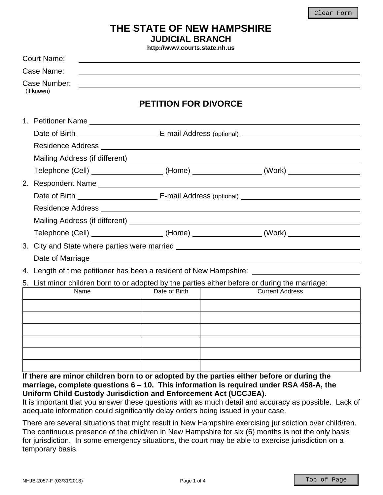# **THE STATE OF NEW HAMPSHIRE JUDICIAL BRANCH**

**http://www.courts.state.nh.us**

| <b>Court Name:</b>                                                                                                                                                                                                             |                                                                                  |                                                                                        |  |
|--------------------------------------------------------------------------------------------------------------------------------------------------------------------------------------------------------------------------------|----------------------------------------------------------------------------------|----------------------------------------------------------------------------------------|--|
| Case Name:                                                                                                                                                                                                                     |                                                                                  |                                                                                        |  |
| Case Number:<br>(if known)                                                                                                                                                                                                     |                                                                                  |                                                                                        |  |
|                                                                                                                                                                                                                                | <b>PETITION FOR DIVORCE</b>                                                      |                                                                                        |  |
|                                                                                                                                                                                                                                |                                                                                  |                                                                                        |  |
|                                                                                                                                                                                                                                |                                                                                  |                                                                                        |  |
|                                                                                                                                                                                                                                |                                                                                  |                                                                                        |  |
|                                                                                                                                                                                                                                |                                                                                  |                                                                                        |  |
|                                                                                                                                                                                                                                |                                                                                  | Telephone (Cell) ___________________(Home) ________________(Work) ______________       |  |
| 2. Respondent Name experience and a series of the series of the series of the series of the series of the series of the series of the series of the series of the series of the series of the series of the series of the seri |                                                                                  |                                                                                        |  |
|                                                                                                                                                                                                                                |                                                                                  |                                                                                        |  |
|                                                                                                                                                                                                                                |                                                                                  |                                                                                        |  |
|                                                                                                                                                                                                                                |                                                                                  |                                                                                        |  |
|                                                                                                                                                                                                                                |                                                                                  | Telephone (Cell) ___________________(Home) _______________(Work) _______________       |  |
|                                                                                                                                                                                                                                | 3. City and State where parties were married ___________________________________ |                                                                                        |  |
|                                                                                                                                                                                                                                |                                                                                  |                                                                                        |  |
|                                                                                                                                                                                                                                |                                                                                  | 4. Length of time petitioner has been a resident of New Hampshire: ______________      |  |
| 5. List minor children born to or adopted by the parties either before or during the marriage:                                                                                                                                 |                                                                                  |                                                                                        |  |
| Name                                                                                                                                                                                                                           | Date of Birth                                                                    | <b>Current Address</b>                                                                 |  |
|                                                                                                                                                                                                                                |                                                                                  |                                                                                        |  |
|                                                                                                                                                                                                                                |                                                                                  |                                                                                        |  |
|                                                                                                                                                                                                                                |                                                                                  |                                                                                        |  |
|                                                                                                                                                                                                                                |                                                                                  |                                                                                        |  |
|                                                                                                                                                                                                                                |                                                                                  |                                                                                        |  |
|                                                                                                                                                                                                                                |                                                                                  |                                                                                        |  |
| If there are minor children born to or adopted by the parties either before or during the                                                                                                                                      |                                                                                  | marriage, complete questions 6 - 10. This information is required under RSA 458-A, the |  |

**Uniform Child Custody Jurisdiction and Enforcement Act (UCCJEA).** 

It is important that you answer these questions with as much detail and accuracy as possible. Lack of adequate information could significantly delay orders being issued in your case.

There are several situations that might result in New Hampshire exercising jurisdiction over child/ren. The continuous presence of the child/ren in New Hampshire for six (6) months is not the only basis for jurisdiction. In some emergency situations, the court may be able to exercise jurisdiction on a temporary basis.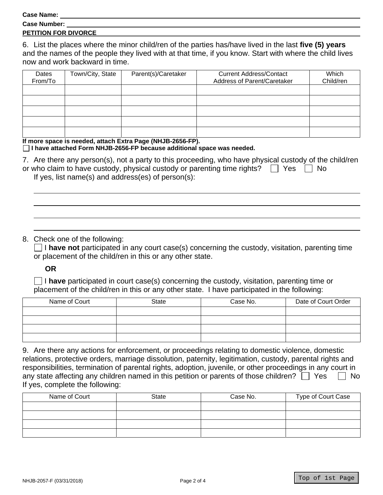**Case Name:** 

| <b>Case Number:</b> |  |
|---------------------|--|
|                     |  |

#### **PETITION FOR DIVORCE**

6. List the places where the minor child/ren of the parties has/have lived in the last **five (5) years** and the names of the people they lived with at that time, if you know. Start with where the child lives now and work backward in time.

| Dates<br>From/To | Town/City, State | Parent(s)/Caretaker | <b>Current Address/Contact</b><br>Address of Parent/Caretaker | Which<br>Child/ren |
|------------------|------------------|---------------------|---------------------------------------------------------------|--------------------|
|                  |                  |                     |                                                               |                    |
|                  |                  |                     |                                                               |                    |
|                  |                  |                     |                                                               |                    |
|                  |                  |                     |                                                               |                    |
|                  |                  |                     |                                                               |                    |

**If more space is needed, attach Extra Page (NHJB-2656-FP).** 

#### **I have attached Form NHJB-2656-FP because additional space was needed.**

| 7. Are there any person(s), not a party to this proceeding, who have physical custody of the child/ren |  |
|--------------------------------------------------------------------------------------------------------|--|
| or who claim to have custody, physical custody or parenting time rights? $\Box$ Yes $\Box$ No          |  |
| If yes, list name(s) and address(es) of $person(s)$ :                                                  |  |

## 8. Check one of the following:

 $\Box$  I have not participated in any court case(s) concerning the custody, visitation, parenting time or placement of the child/ren in this or any other state.

**OR**

 I **have** participated in court case(s) concerning the custody, visitation, parenting time or placement of the child/ren in this or any other state. I have participated in the following:

| Name of Court | State | Case No. | Date of Court Order |
|---------------|-------|----------|---------------------|
|               |       |          |                     |
|               |       |          |                     |
|               |       |          |                     |
|               |       |          |                     |

| 9. Are there any actions for enforcement, or proceedings relating to domestic violence, domestic           |
|------------------------------------------------------------------------------------------------------------|
| relations, protective orders, marriage dissolution, paternity, legitimation, custody, parental rights and  |
| responsibilities, termination of parental rights, adoption, juvenile, or other proceedings in any court in |
| any state affecting any children named in this petition or parents of those children? $\Box$ Yes $\Box$ No |
| If yes, complete the following:                                                                            |

| Name of Court | <b>State</b> | Case No. | Type of Court Case |
|---------------|--------------|----------|--------------------|
|               |              |          |                    |
|               |              |          |                    |
|               |              |          |                    |
|               |              |          |                    |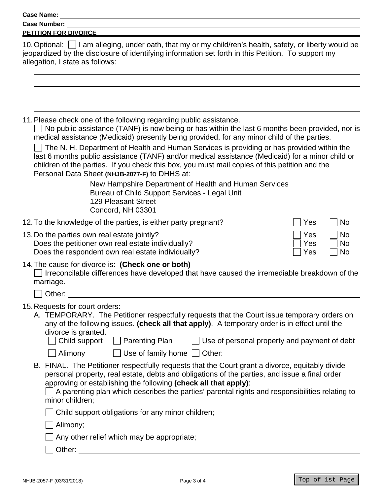|                                                                               | Case Name: Name: Name and Second Case Name and Second Case Name and Second Case of the Case of the Case of the Case of the Case of the Case of the Case of the Case of the Case of the Case of the Case of the Case of the Cas                                                                                                                                                                     |                                                          |
|-------------------------------------------------------------------------------|----------------------------------------------------------------------------------------------------------------------------------------------------------------------------------------------------------------------------------------------------------------------------------------------------------------------------------------------------------------------------------------------------|----------------------------------------------------------|
| Case Number: ____                                                             |                                                                                                                                                                                                                                                                                                                                                                                                    |                                                          |
| <b>PETITION FOR DIVORCE</b>                                                   |                                                                                                                                                                                                                                                                                                                                                                                                    |                                                          |
| allegation, I state as follows:                                               | 10. Optional: $\Box$ I am alleging, under oath, that my or my child/ren's health, safety, or liberty would be<br>jeopardized by the disclosure of identifying information set forth in this Petition. To support my                                                                                                                                                                                |                                                          |
|                                                                               | 11. Please check one of the following regarding public assistance.<br>No public assistance (TANF) is now being or has within the last 6 months been provided, nor is<br>medical assistance (Medicaid) presently being provided, for any minor child of the parties.                                                                                                                                |                                                          |
|                                                                               | The N. H. Department of Health and Human Services is providing or has provided within the<br>last 6 months public assistance (TANF) and/or medical assistance (Medicaid) for a minor child or<br>children of the parties. If you check this box, you must mail copies of this petition and the<br>Personal Data Sheet (NHJB-2077-F) to DHHS at:                                                    |                                                          |
|                                                                               | New Hampshire Department of Health and Human Services<br>Bureau of Child Support Services - Legal Unit<br><b>129 Pleasant Street</b><br>Concord, NH 03301                                                                                                                                                                                                                                          |                                                          |
|                                                                               | 12. To the knowledge of the parties, is either party pregnant?                                                                                                                                                                                                                                                                                                                                     | <b>No</b><br>Yes                                         |
| 13. Do the parties own real estate jointly?                                   | Does the petitioner own real estate individually?<br>Does the respondent own real estate individually?                                                                                                                                                                                                                                                                                             | Yes<br><b>No</b><br>Yes<br><b>No</b><br>Yes<br><b>No</b> |
| 14. The cause for divorce is: (Check one or both)<br>marriage.                | Irreconcilable differences have developed that have caused the irremediable breakdown of the                                                                                                                                                                                                                                                                                                       |                                                          |
|                                                                               |                                                                                                                                                                                                                                                                                                                                                                                                    |                                                          |
| 15. Requests for court orders:<br>divorce is granted.<br>$\Box$ Child support | A. TEMPORARY. The Petitioner respectfully requests that the Court issue temporary orders on<br>any of the following issues. (check all that apply). A temporary order is in effect until the<br>$\Box$ Parenting Plan                                                                                                                                                                              | $\Box$ Use of personal property and payment of debt      |
| $\Box$ Alimony<br>minor children;                                             | Use of family home Other:<br>B. FINAL. The Petitioner respectfully requests that the Court grant a divorce, equitably divide<br>personal property, real estate, debts and obligations of the parties, and issue a final order<br>approving or establishing the following (check all that apply):<br>A parenting plan which describes the parties' parental rights and responsibilities relating to |                                                          |

Child support obligations for any minor children;

Alimony;

 $\Box$  Any other relief which may be appropriate;

**Other:** <u>Contract Contract Contract Contract Contract Contract Contract Contract Contract Contract Contract Contract Contract Contract Contract Contract Contract Contract Contract Contract Contract Contract Contract Contr</u>